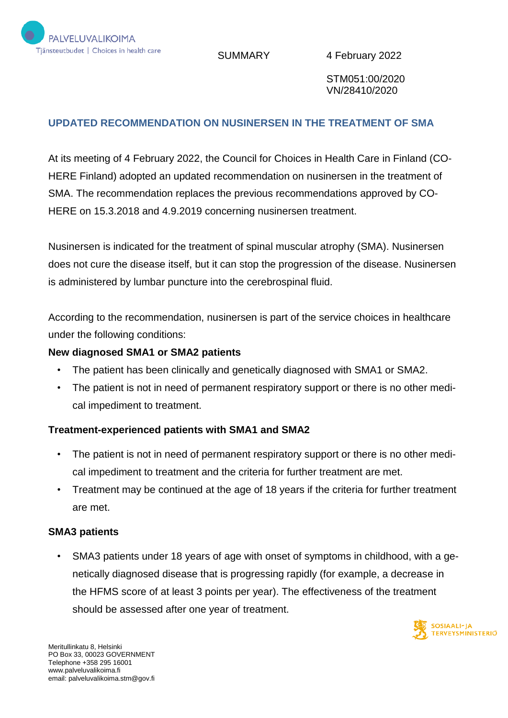

SUMMARY 4 February 2022

STM051:00/2020 VN/28410/2020

# **UPDATED RECOMMENDATION ON NUSINERSEN IN THE TREATMENT OF SMA**

At its meeting of 4 February 2022, the Council for Choices in Health Care in Finland (CO-HERE Finland) adopted an updated recommendation on nusinersen in the treatment of SMA. The recommendation replaces the previous recommendations approved by CO-HERE on 15.3.2018 and 4.9.2019 concerning nusinersen treatment.

Nusinersen is indicated for the treatment of spinal muscular atrophy (SMA). Nusinersen does not cure the disease itself, but it can stop the progression of the disease. Nusinersen is administered by lumbar puncture into the cerebrospinal fluid.

According to the recommendation, nusinersen is part of the service choices in healthcare under the following conditions:

#### **New diagnosed SMA1 or SMA2 patients**

- The patient has been clinically and genetically diagnosed with SMA1 or SMA2.
- The patient is not in need of permanent respiratory support or there is no other medical impediment to treatment.

### **Treatment-experienced patients with SMA1 and SMA2**

- The patient is not in need of permanent respiratory support or there is no other medical impediment to treatment and the criteria for further treatment are met.
- Treatment may be continued at the age of 18 years if the criteria for further treatment are met.

### **SMA3 patients**

• SMA3 patients under 18 years of age with onset of symptoms in childhood, with a genetically diagnosed disease that is progressing rapidly (for example, a decrease in the HFMS score of at least 3 points per year). The effectiveness of the treatment should be assessed after one year of treatment.

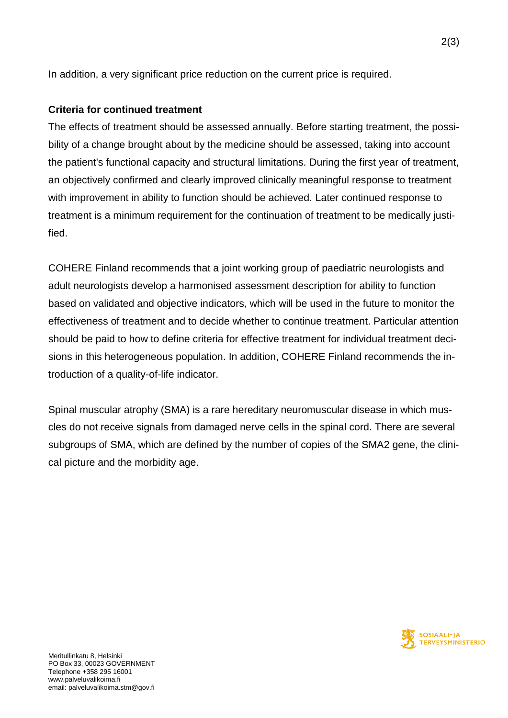In addition, a very significant price reduction on the current price is required.

## **Criteria for continued treatment**

The effects of treatment should be assessed annually. Before starting treatment, the possibility of a change brought about by the medicine should be assessed, taking into account the patient's functional capacity and structural limitations. During the first year of treatment, an objectively confirmed and clearly improved clinically meaningful response to treatment with improvement in ability to function should be achieved. Later continued response to treatment is a minimum requirement for the continuation of treatment to be medically justified.

COHERE Finland recommends that a joint working group of paediatric neurologists and adult neurologists develop a harmonised assessment description for ability to function based on validated and objective indicators, which will be used in the future to monitor the effectiveness of treatment and to decide whether to continue treatment. Particular attention should be paid to how to define criteria for effective treatment for individual treatment decisions in this heterogeneous population. In addition, COHERE Finland recommends the introduction of a quality-of-life indicator.

Spinal muscular atrophy (SMA) is a rare hereditary neuromuscular disease in which muscles do not receive signals from damaged nerve cells in the spinal cord. There are several subgroups of SMA, which are defined by the number of copies of the SMA2 gene, the clinical picture and the morbidity age.